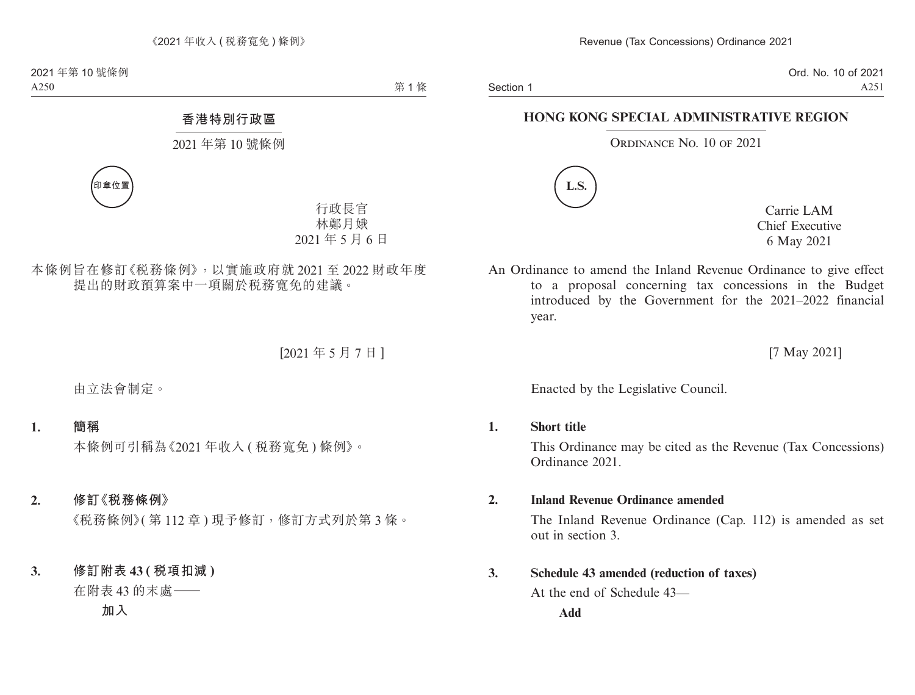Section 1

Ord. No. 10 of 2021 A251

# **HONG KONG SPECIAL ADMINISTRATIVE REGION**

### ORDINANCE NO. 10 OF 2021



Carrie LAM Chief Executive 6 May 2021

An Ordinance to amend the Inland Revenue Ordinance to give effect to a proposal concerning tax concessions in the Budget introduced by the Government for the 2021–2022 financial year.

[7 May 2021]

Enacted by the Legislative Council.

## **1. Short title**

This Ordinance may be cited as the Revenue (Tax Concessions) Ordinance 2021.

## **2. Inland Revenue Ordinance amended**

The Inland Revenue Ordinance (Cap. 112) is amended as set out in section 3.

## **3. Schedule 43 amended (reduction of taxes)**

At the end of Schedule 43—

**Add**